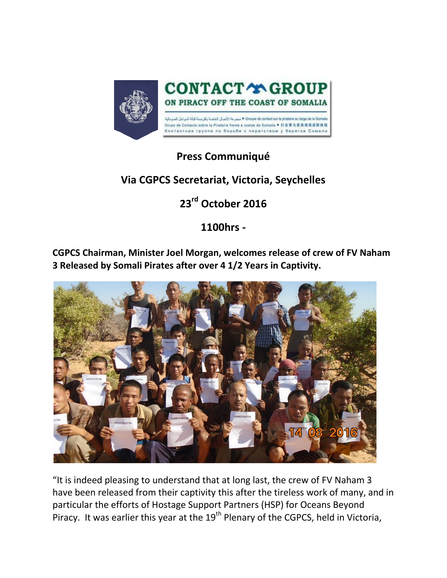

## **Press Communiqué**

## **Via CGPCS Secretariat, Victoria, Seychelles**

## **23rd October 2016**

**1100hrs -**

**CGPCS Chairman, Minister Joel Morgan, welcomes release of crew of FV Naham 3 Released by Somali Pirates after over 4 1/2 Years in Captivity.**



"It is indeed pleasing to understand that at long last, the crew of FV Naham 3 have been released from their captivity this after the tireless work of many, and in particular the efforts of Hostage Support Partners (HSP) for Oceans Beyond Piracy. It was earlier this year at the  $19<sup>th</sup>$  Plenary of the CGPCS, held in Victoria,